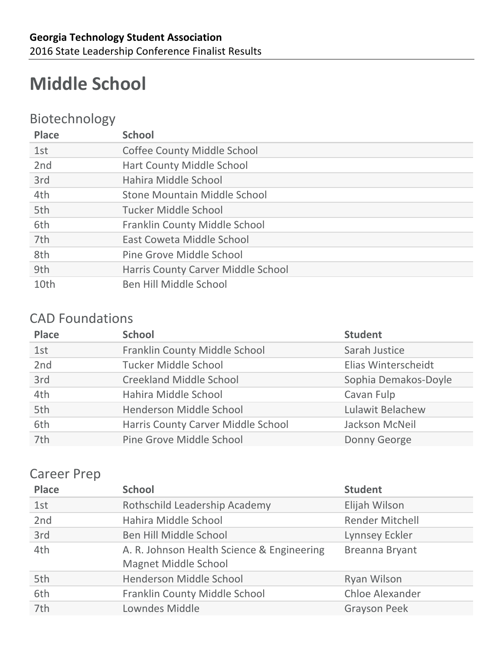# **Middle School**

### Biotechnology

| <b>Place</b> | <b>School</b>                       |
|--------------|-------------------------------------|
| 1st          | <b>Coffee County Middle School</b>  |
| 2nd          | <b>Hart County Middle School</b>    |
| 3rd          | Hahira Middle School                |
| 4th          | <b>Stone Mountain Middle School</b> |
| 5th          | Tucker Middle School                |
| 6th          | Franklin County Middle School       |
| 7th          | East Coweta Middle School           |
| 8th          | Pine Grove Middle School            |
| 9th          | Harris County Carver Middle School  |
| 10th         | Ben Hill Middle School              |

#### CAD Foundations

| <b>Place</b> | <b>School</b>                      | <b>Student</b>       |
|--------------|------------------------------------|----------------------|
| 1st          | Franklin County Middle School      | Sarah Justice        |
| 2nd          | <b>Tucker Middle School</b>        | Elias Winterscheidt  |
| 3rd          | <b>Creekland Middle School</b>     | Sophia Demakos-Doyle |
| 4th          | Hahira Middle School               | Cavan Fulp           |
| 5th          | Henderson Middle School            | Lulawit Belachew     |
| 6th          | Harris County Carver Middle School | Jackson McNeil       |
| 7th          | Pine Grove Middle School           | Donny George         |

#### **Career Prep**

| <b>Place</b> | <b>School</b>                                                             | <b>Student</b>         |
|--------------|---------------------------------------------------------------------------|------------------------|
| 1st          | Rothschild Leadership Academy                                             | Elijah Wilson          |
| 2nd          | Hahira Middle School                                                      | <b>Render Mitchell</b> |
| 3rd          | Ben Hill Middle School                                                    | <b>Lynnsey Eckler</b>  |
| 4th          | A. R. Johnson Health Science & Engineering<br><b>Magnet Middle School</b> | Breanna Bryant         |
| 5th          | Henderson Middle School                                                   | Ryan Wilson            |
| 6th          | Franklin County Middle School                                             | <b>Chloe Alexander</b> |
| 7th          | Lowndes Middle                                                            | <b>Grayson Peek</b>    |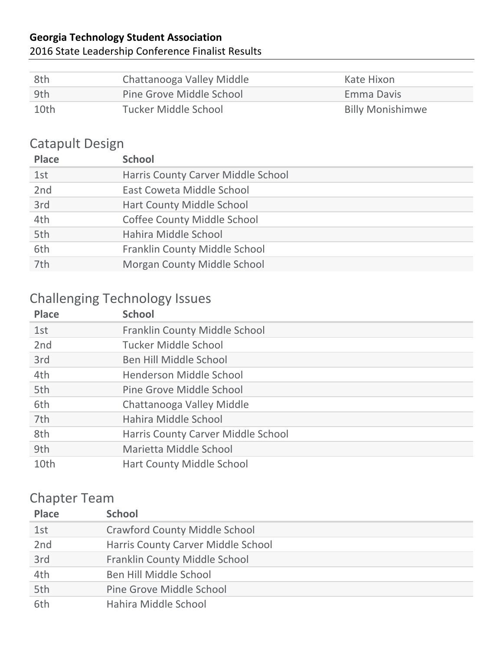#### 2016 State Leadership Conference Finalist Results

| -8th | Chattanooga Valley Middle | Kate Hixon              |
|------|---------------------------|-------------------------|
| -9th | Pine Grove Middle School  | Emma Davis              |
| 10th | Tucker Middle School      | <b>Billy Monishimwe</b> |

## Catapult Design

| <b>Place</b> | <b>School</b>                      |
|--------------|------------------------------------|
| 1st          | Harris County Carver Middle School |
| 2nd          | East Coweta Middle School          |
| 3rd          | <b>Hart County Middle School</b>   |
| 4th          | <b>Coffee County Middle School</b> |
| 5th          | Hahira Middle School               |
| 6th          | Franklin County Middle School      |
| 7th          | Morgan County Middle School        |

## Challenging Technology Issues

| <b>Place</b>    | <b>School</b>                        |
|-----------------|--------------------------------------|
| 1st             | <b>Franklin County Middle School</b> |
| 2 <sub>nd</sub> | Tucker Middle School                 |
| 3rd             | Ben Hill Middle School               |
| 4th             | Henderson Middle School              |
| 5th             | Pine Grove Middle School             |
| 6th             | Chattanooga Valley Middle            |
| 7th             | Hahira Middle School                 |
| 8th             | Harris County Carver Middle School   |
| 9th             | Marietta Middle School               |
| 10th            | <b>Hart County Middle School</b>     |

## Chapter Team

| <b>Place</b> | <b>School</b>                        |
|--------------|--------------------------------------|
| 1st          | <b>Crawford County Middle School</b> |
| 2nd          | Harris County Carver Middle School   |
| 3rd          | Franklin County Middle School        |
| 4th          | Ben Hill Middle School               |
| 5th          | Pine Grove Middle School             |
| 6th          | Hahira Middle School                 |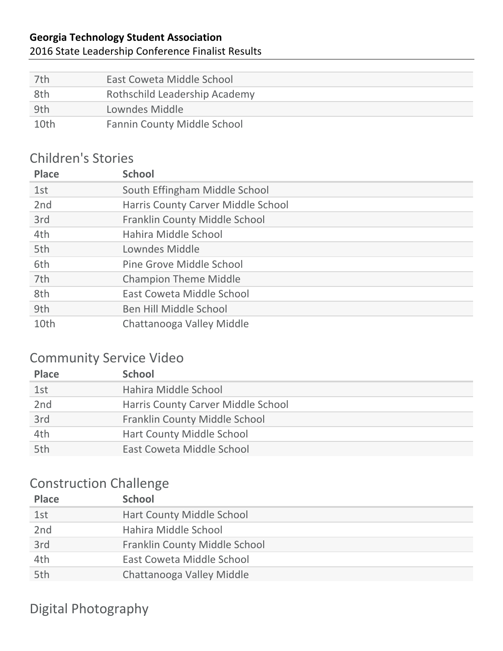#### 2016 State Leadership Conference Finalist Results

| 7th  | East Coweta Middle School          |
|------|------------------------------------|
| 8th  | Rothschild Leadership Academy      |
| 9th  | Lowndes Middle                     |
| 10th | <b>Fannin County Middle School</b> |

#### Children's Stories

| <b>Place</b>    | <b>School</b>                      |
|-----------------|------------------------------------|
| 1st             | South Effingham Middle School      |
| 2 <sub>nd</sub> | Harris County Carver Middle School |
| 3rd             | Franklin County Middle School      |
| 4th             | Hahira Middle School               |
| 5th             | Lowndes Middle                     |
| 6th             | Pine Grove Middle School           |
| 7th             | <b>Champion Theme Middle</b>       |
| 8th             | East Coweta Middle School          |
| 9th             | Ben Hill Middle School             |
| 10th            | Chattanooga Valley Middle          |

#### Community Service Video

| <b>Place</b> | <b>School</b>                      |
|--------------|------------------------------------|
| 1st          | Hahira Middle School               |
| 2nd          | Harris County Carver Middle School |
| 3rd          | Franklin County Middle School      |
| 4th          | Hart County Middle School          |
| 5th          | East Coweta Middle School          |

### Construction Challenge

| <b>Place</b> | <b>School</b>                        |
|--------------|--------------------------------------|
| 1st          | Hart County Middle School            |
| 2nd          | Hahira Middle School                 |
| 3rd          | <b>Franklin County Middle School</b> |
| 4th          | East Coweta Middle School            |
| 5th          | Chattanooga Valley Middle            |

Digital Photography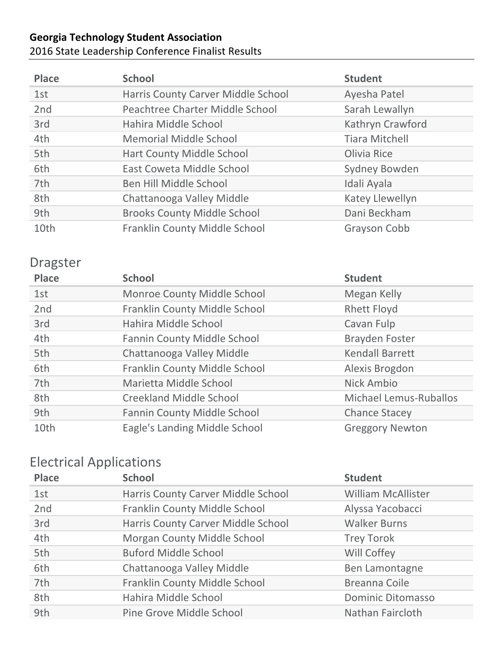#### **Georgia Technology Student Association** 2016 State Leadership Conference Finalist Results

| <b>Place</b> | <b>School</b>                      | <b>Student</b>         |
|--------------|------------------------------------|------------------------|
| 1st          | Harris County Carver Middle School | Ayesha Patel           |
| 2nd          | Peachtree Charter Middle School    | Sarah Lewallyn         |
| 3rd          | Hahira Middle School               | Kathryn Crawford       |
| 4th          | <b>Memorial Middle School</b>      | <b>Tiara Mitchell</b>  |
| 5th          | <b>Hart County Middle School</b>   | Olivia Rice            |
| 6th          | East Coweta Middle School          | Sydney Bowden          |
| 7th          | Ben Hill Middle School             | Idali Ayala            |
| 8th          | Chattanooga Valley Middle          | <b>Katey Llewellyn</b> |
| 9th          | <b>Brooks County Middle School</b> | Dani Beckham           |
| 10th         | Franklin County Middle School      | Grayson Cobb           |

#### Dragster

| <b>Place</b> | <b>School</b>                      | <b>Student</b>                |
|--------------|------------------------------------|-------------------------------|
| 1st          | Monroe County Middle School        | Megan Kelly                   |
| 2nd          | Franklin County Middle School      | <b>Rhett Floyd</b>            |
| 3rd          | Hahira Middle School               | Cavan Fulp                    |
| 4th          | <b>Fannin County Middle School</b> | <b>Brayden Foster</b>         |
| 5th          | Chattanooga Valley Middle          | <b>Kendall Barrett</b>        |
| 6th          | Franklin County Middle School      | Alexis Brogdon                |
| 7th          | Marietta Middle School             | Nick Ambio                    |
| 8th          | <b>Creekland Middle School</b>     | <b>Michael Lemus-Ruballos</b> |
| 9th          | <b>Fannin County Middle School</b> | <b>Chance Stacey</b>          |
| 10th         | Eagle's Landing Middle School      | <b>Greggory Newton</b>        |

## Electrical Applications

| <b>Place</b> | <b>School</b>                      | <b>Student</b>            |
|--------------|------------------------------------|---------------------------|
| 1st          | Harris County Carver Middle School | <b>William McAllister</b> |
| 2nd          | Franklin County Middle School      | Alyssa Yacobacci          |
| 3rd          | Harris County Carver Middle School | <b>Walker Burns</b>       |
| 4th          | Morgan County Middle School        | <b>Trey Torok</b>         |
| 5th          | <b>Buford Middle School</b>        | Will Coffey               |
| 6th          | Chattanooga Valley Middle          | Ben Lamontagne            |
| 7th          | Franklin County Middle School      | Breanna Coile             |
| 8th          | Hahira Middle School               | <b>Dominic Ditomasso</b>  |
| 9th          | Pine Grove Middle School           | Nathan Faircloth          |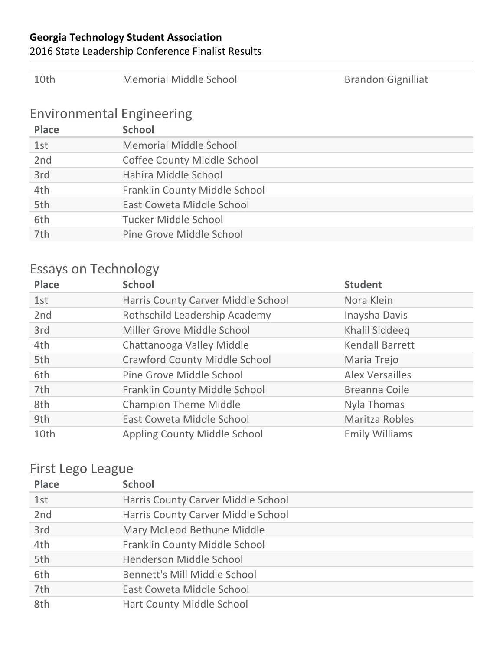#### 2016 State Leadership Conference Finalist Results

| 10th                                             | <b>Memorial Middle School</b>      | <b>Brandon Gignilliat</b> |
|--------------------------------------------------|------------------------------------|---------------------------|
| <b>Environmental Engineering</b><br><b>Place</b> | <b>School</b>                      |                           |
| 1st                                              | <b>Memorial Middle School</b>      |                           |
| 2nd                                              | <b>Coffee County Middle School</b> |                           |
| 3rd                                              | Hahira Middle School               |                           |
| 4th                                              | Franklin County Middle School      |                           |
| 5th                                              | East Coweta Middle School          |                           |
| 6th                                              | <b>Tucker Middle School</b>        |                           |
| 7th                                              | Pine Grove Middle School           |                           |

## Essays on Technology

| <b>Place</b> | <b>School</b>                        | <b>Student</b>         |
|--------------|--------------------------------------|------------------------|
| 1st          | Harris County Carver Middle School   | Nora Klein             |
| 2nd          | Rothschild Leadership Academy        | Inaysha Davis          |
| 3rd          | Miller Grove Middle School           | Khalil Siddeeq         |
| 4th          | Chattanooga Valley Middle            | <b>Kendall Barrett</b> |
| 5th          | <b>Crawford County Middle School</b> | Maria Trejo            |
| 6th          | Pine Grove Middle School             | <b>Alex Versailles</b> |
| 7th          | Franklin County Middle School        | Breanna Coile          |
| 8th          | <b>Champion Theme Middle</b>         | Nyla Thomas            |
| 9th          | East Coweta Middle School            | Maritza Robles         |
| 10th         | Appling County Middle School         | <b>Emily Williams</b>  |

## First Lego League

| <b>Place</b> | <b>School</b>                      |
|--------------|------------------------------------|
| 1st          | Harris County Carver Middle School |
| 2nd          | Harris County Carver Middle School |
| 3rd          | Mary McLeod Bethune Middle         |
| 4th          | Franklin County Middle School      |
| 5th          | Henderson Middle School            |
| 6th          | Bennett's Mill Middle School       |
| 7th          | East Coweta Middle School          |
| 8th          | <b>Hart County Middle School</b>   |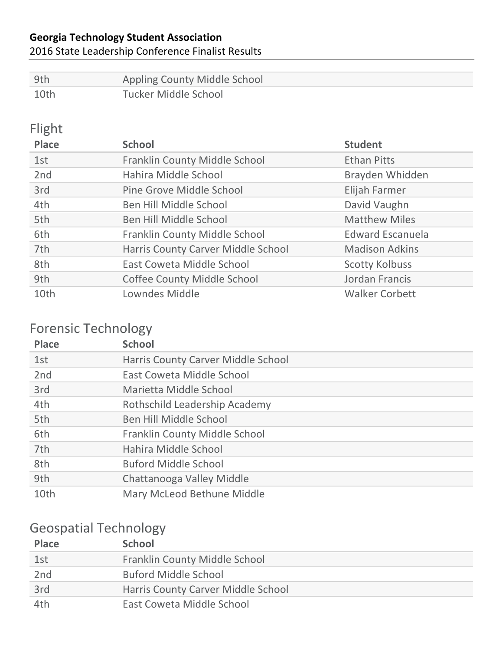#### 2016 State Leadership Conference Finalist Results

| -9th | Appling County Middle School |
|------|------------------------------|
| 10th | Tucker Middle School         |

## Flight

| <b>Place</b> | <b>School</b>                      | <b>Student</b>          |
|--------------|------------------------------------|-------------------------|
| 1st          | Franklin County Middle School      | <b>Ethan Pitts</b>      |
| 2nd          | Hahira Middle School               | Brayden Whidden         |
| 3rd          | Pine Grove Middle School           | Elijah Farmer           |
| 4th          | Ben Hill Middle School             | David Vaughn            |
| 5th          | Ben Hill Middle School             | <b>Matthew Miles</b>    |
| 6th          | Franklin County Middle School      | <b>Edward Escanuela</b> |
| 7th          | Harris County Carver Middle School | <b>Madison Adkins</b>   |
| 8th          | East Coweta Middle School          | <b>Scotty Kolbuss</b>   |
| 9th          | <b>Coffee County Middle School</b> | Jordan Francis          |
| 10th         | Lowndes Middle                     | <b>Walker Corbett</b>   |

## Forensic Technology

| <b>Place</b> | <b>School</b>                      |
|--------------|------------------------------------|
| 1st          | Harris County Carver Middle School |
| 2nd          | East Coweta Middle School          |
| 3rd          | Marietta Middle School             |
| 4th          | Rothschild Leadership Academy      |
| 5th          | Ben Hill Middle School             |
| 6th          | Franklin County Middle School      |
| 7th          | Hahira Middle School               |
| 8th          | <b>Buford Middle School</b>        |
| 9th          | Chattanooga Valley Middle          |
| 10th         | Mary McLeod Bethune Middle         |

## Geospatial Technology

| <b>Place</b>    | <b>School</b>                      |
|-----------------|------------------------------------|
| 1st             | Franklin County Middle School      |
| 2 <sub>nd</sub> | <b>Buford Middle School</b>        |
| 3rd             | Harris County Carver Middle School |
| 4th             | East Coweta Middle School          |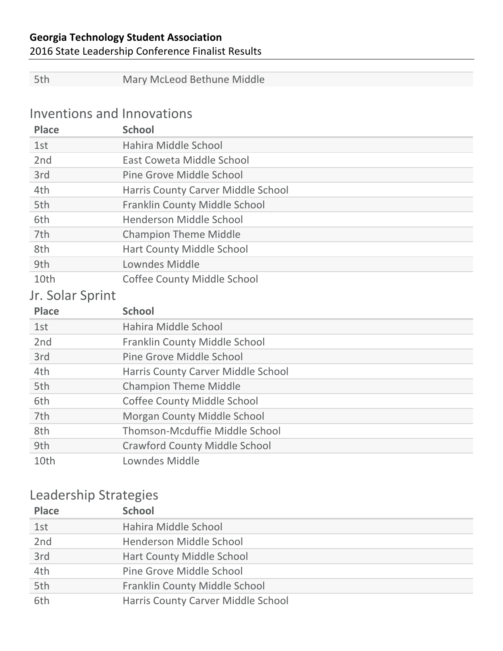2016 State Leadership Conference Finalist Results

| 5th                        | Mary McLeod Bethune Middle           |
|----------------------------|--------------------------------------|
|                            |                                      |
| Inventions and Innovations |                                      |
| <b>Place</b>               | <b>School</b>                        |
| 1st                        | Hahira Middle School                 |
| 2 <sub>nd</sub>            | East Coweta Middle School            |
| 3rd                        | Pine Grove Middle School             |
| 4th                        | Harris County Carver Middle School   |
| 5th                        | <b>Franklin County Middle School</b> |
| 6th                        | Henderson Middle School              |
| 7th                        | <b>Champion Theme Middle</b>         |
| 8th                        | <b>Hart County Middle School</b>     |
| 9th                        | Lowndes Middle                       |
| 10th                       | <b>Coffee County Middle School</b>   |
|                            |                                      |
| Jr. Solar Sprint           |                                      |
| <b>Place</b>               | <b>School</b>                        |
| 1st                        | Hahira Middle School                 |
| 2 <sub>nd</sub>            | Franklin County Middle School        |
| 3rd                        | Pine Grove Middle School             |
| 4th                        | Harris County Carver Middle School   |
| 5th                        | <b>Champion Theme Middle</b>         |
| 6th                        | <b>Coffee County Middle School</b>   |
| 7th                        | Morgan County Middle School          |
| 8th                        | Thomson-Mcduffie Middle School       |
| 9th                        | <b>Crawford County Middle School</b> |
| 10th                       | Lowndes Middle                       |
|                            |                                      |

## Leadership Strategies

| <b>Place</b> | <b>School</b>                      |
|--------------|------------------------------------|
| 1st          | Hahira Middle School               |
| 2nd          | Henderson Middle School            |
| 3rd          | <b>Hart County Middle School</b>   |
| 4th          | Pine Grove Middle School           |
| 5th          | Franklin County Middle School      |
| 6th          | Harris County Carver Middle School |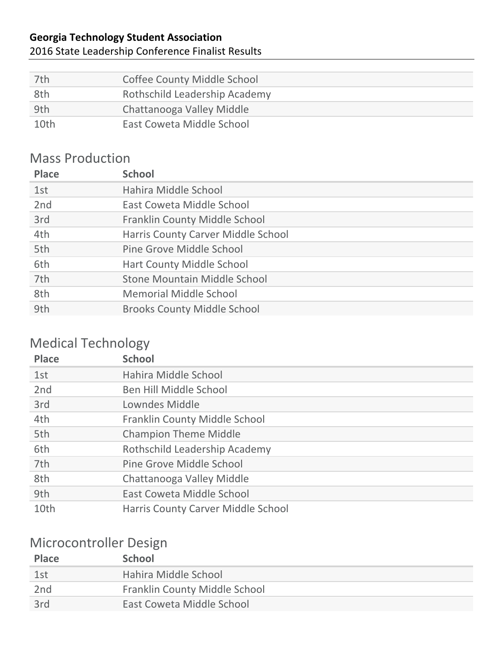#### 2016 State Leadership Conference Finalist Results

| 7th  | <b>Coffee County Middle School</b> |
|------|------------------------------------|
| 8th  | Rothschild Leadership Academy      |
| 9th  | Chattanooga Valley Middle          |
| 10th | East Coweta Middle School          |

#### **Mass Production**

| <b>Place</b>    | <b>School</b>                        |
|-----------------|--------------------------------------|
| 1st             | Hahira Middle School                 |
| 2 <sub>nd</sub> | East Coweta Middle School            |
| 3rd             | <b>Franklin County Middle School</b> |
| 4th             | Harris County Carver Middle School   |
| 5th             | Pine Grove Middle School             |
| 6th             | <b>Hart County Middle School</b>     |
| 7th             | <b>Stone Mountain Middle School</b>  |
| 8th             | <b>Memorial Middle School</b>        |
| 9th             | <b>Brooks County Middle School</b>   |
|                 |                                      |

## Medical Technology

| <b>Place</b> | <b>School</b>                        |
|--------------|--------------------------------------|
| 1st          | Hahira Middle School                 |
| 2nd          | Ben Hill Middle School               |
| 3rd          | Lowndes Middle                       |
| 4th          | <b>Franklin County Middle School</b> |
| 5th          | <b>Champion Theme Middle</b>         |
| 6th          | Rothschild Leadership Academy        |
| 7th          | Pine Grove Middle School             |
| 8th          | Chattanooga Valley Middle            |
| 9th          | East Coweta Middle School            |
| 10th         | Harris County Carver Middle School   |

### Microcontroller Design

| <b>Place</b>    | School                               |
|-----------------|--------------------------------------|
| 1st             | Hahira Middle School                 |
| 2 <sub>nd</sub> | <b>Franklin County Middle School</b> |
| 3rd             | East Coweta Middle School            |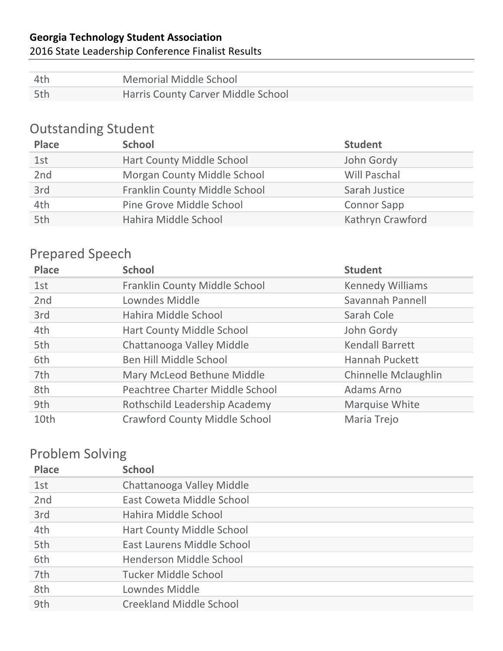#### 2016 State Leadership Conference Finalist Results

| – 4th | Memorial Middle School             |
|-------|------------------------------------|
| 5th   | Harris County Carver Middle School |

## **Outstanding Student**

| <b>Place</b> | <b>School</b>                 | <b>Student</b>      |
|--------------|-------------------------------|---------------------|
| 1st          | Hart County Middle School     | John Gordy          |
| 2nd          | Morgan County Middle School   | <b>Will Paschal</b> |
| 3rd          | Franklin County Middle School | Sarah Justice       |
| 4th          | Pine Grove Middle School      | <b>Connor Sapp</b>  |
| 5th          | Hahira Middle School          | Kathryn Crawford    |

## Prepared Speech

| <b>Place</b> | <b>School</b>                        | <b>Student</b>              |
|--------------|--------------------------------------|-----------------------------|
| 1st          | Franklin County Middle School        | <b>Kennedy Williams</b>     |
| 2nd          | Lowndes Middle                       | Savannah Pannell            |
| 3rd          | Hahira Middle School                 | Sarah Cole                  |
| 4th          | Hart County Middle School            | John Gordy                  |
| 5th          | Chattanooga Valley Middle            | <b>Kendall Barrett</b>      |
| 6th          | Ben Hill Middle School               | <b>Hannah Puckett</b>       |
| 7th          | Mary McLeod Bethune Middle           | <b>Chinnelle Mclaughlin</b> |
| 8th          | Peachtree Charter Middle School      | Adams Arno                  |
| 9th          | Rothschild Leadership Academy        | Marquise White              |
| 10th         | <b>Crawford County Middle School</b> | Maria Trejo                 |

## Problem Solving

| <b>Place</b> | <b>School</b>                    |
|--------------|----------------------------------|
| 1st          | Chattanooga Valley Middle        |
| 2nd          | East Coweta Middle School        |
| 3rd          | Hahira Middle School             |
| 4th          | <b>Hart County Middle School</b> |
| 5th          | East Laurens Middle School       |
| 6th          | Henderson Middle School          |
| 7th          | Tucker Middle School             |
| 8th          | Lowndes Middle                   |
| 9th          | <b>Creekland Middle School</b>   |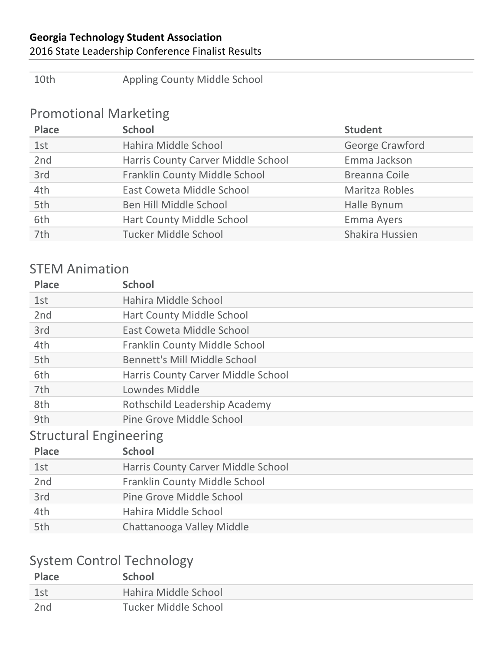#### 2016 State Leadership Conference Finalist Results

10th Appling County Middle School

### Promotional Marketing

| <b>Place</b> | <b>School</b>                      | <b>Student</b>    |
|--------------|------------------------------------|-------------------|
| 1st          | Hahira Middle School               | George Crawford   |
| 2nd          | Harris County Carver Middle School | Emma Jackson      |
| 3rd          | Franklin County Middle School      | Breanna Coile     |
| 4th          | East Coweta Middle School          | Maritza Robles    |
| 5th          | Ben Hill Middle School             | Halle Bynum       |
| 6th          | Hart County Middle School          | <b>Emma Ayers</b> |
| 7th          | <b>Tucker Middle School</b>        | Shakira Hussien   |

#### **STEM Animation**

| <b>Place</b>                  | <b>School</b>                        |  |
|-------------------------------|--------------------------------------|--|
| 1st                           | Hahira Middle School                 |  |
| 2nd                           | <b>Hart County Middle School</b>     |  |
| 3rd                           | <b>East Coweta Middle School</b>     |  |
| 4th                           | <b>Franklin County Middle School</b> |  |
| 5th                           | <b>Bennett's Mill Middle School</b>  |  |
| 6th                           | Harris County Carver Middle School   |  |
| 7th                           | Lowndes Middle                       |  |
| 8th                           | Rothschild Leadership Academy        |  |
| 9th                           | Pine Grove Middle School             |  |
| <b>Structural Engineering</b> |                                      |  |
| <b>Place</b>                  | <b>School</b>                        |  |
| 1st                           | Harris County Carver Middle School   |  |
| 2nd                           | <b>Franklin County Middle School</b> |  |
| 3rd                           | Pine Grove Middle School             |  |
| 4th                           | Hahira Middle School                 |  |
| 5th                           | Chattanooga Valley Middle            |  |

## System Control Technology

| <b>Place</b> | <b>School</b>        |
|--------------|----------------------|
| 1st          | Hahira Middle School |
| 2nd          | Tucker Middle School |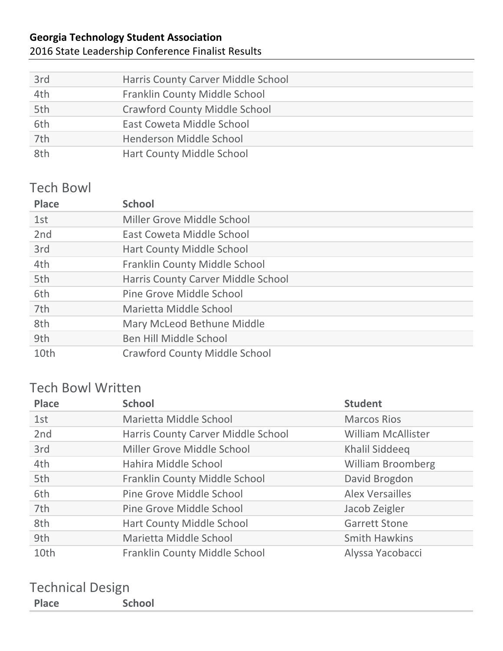#### 2016 State Leadership Conference Finalist Results

| 3rd | Harris County Carver Middle School   |
|-----|--------------------------------------|
| 4th | Franklin County Middle School        |
| 5th | <b>Crawford County Middle School</b> |
| 6th | East Coweta Middle School            |
| 7th | Henderson Middle School              |
| 8th | Hart County Middle School            |

#### **Tech Bowl**

| <b>Place</b> | <b>School</b>                        |
|--------------|--------------------------------------|
| 1st          | Miller Grove Middle School           |
| 2nd          | East Coweta Middle School            |
| 3rd          | <b>Hart County Middle School</b>     |
| 4th          | Franklin County Middle School        |
| 5th          | Harris County Carver Middle School   |
| 6th          | Pine Grove Middle School             |
| 7th          | Marietta Middle School               |
| 8th          | Mary McLeod Bethune Middle           |
| 9th          | Ben Hill Middle School               |
| 10th         | <b>Crawford County Middle School</b> |

### Tech Bowl Written

| <b>Place</b> | <b>School</b>                      | <b>Student</b>            |
|--------------|------------------------------------|---------------------------|
| 1st          | Marietta Middle School             | <b>Marcos Rios</b>        |
| 2nd          | Harris County Carver Middle School | <b>William McAllister</b> |
| 3rd          | Miller Grove Middle School         | Khalil Siddeeq            |
| 4th          | Hahira Middle School               | <b>William Broomberg</b>  |
| 5th          | Franklin County Middle School      | David Brogdon             |
| 6th          | Pine Grove Middle School           | <b>Alex Versailles</b>    |
| 7th          | Pine Grove Middle School           | Jacob Zeigler             |
| 8th          | Hart County Middle School          | <b>Garrett Stone</b>      |
| 9th          | Marietta Middle School             | <b>Smith Hawkins</b>      |
| 10th         | Franklin County Middle School      | Alyssa Yacobacci          |

#### Technical Design **Place School**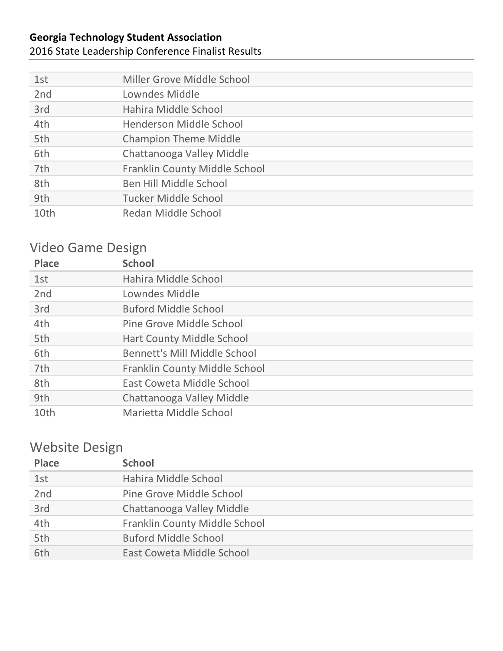#### 2016 State Leadership Conference Finalist Results

| 1st  | Miller Grove Middle School    |
|------|-------------------------------|
| 2nd  | Lowndes Middle                |
| 3rd  | Hahira Middle School          |
| 4th  | Henderson Middle School       |
| 5th  | <b>Champion Theme Middle</b>  |
| 6th  | Chattanooga Valley Middle     |
| 7th  | Franklin County Middle School |
| 8th  | Ben Hill Middle School        |
| 9th  | Tucker Middle School          |
| 10th | Redan Middle School           |

## Video Game Design

| <b>Place</b>    | <b>School</b>                        |
|-----------------|--------------------------------------|
| 1st             | Hahira Middle School                 |
| 2 <sub>nd</sub> | Lowndes Middle                       |
| 3rd             | <b>Buford Middle School</b>          |
| 4th             | Pine Grove Middle School             |
| 5th             | <b>Hart County Middle School</b>     |
| 6th             | Bennett's Mill Middle School         |
| 7th             | <b>Franklin County Middle School</b> |
| 8th             | East Coweta Middle School            |
| 9th             | Chattanooga Valley Middle            |
| 10th            | Marietta Middle School               |

## Website Design

| <b>Place</b> | <b>School</b>                 |
|--------------|-------------------------------|
| 1st          | Hahira Middle School          |
| 2nd          | Pine Grove Middle School      |
| 3rd          | Chattanooga Valley Middle     |
| 4th          | Franklin County Middle School |
| 5th          | <b>Buford Middle School</b>   |
| 6th          | East Coweta Middle School     |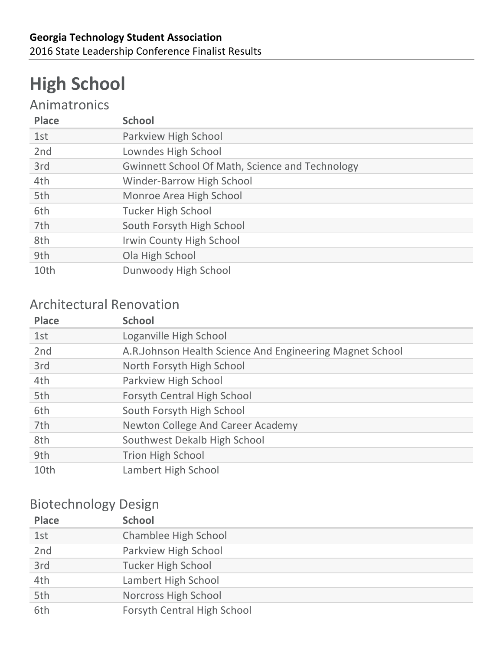# **High School**

## Animatronics

| <b>Place</b> | <b>School</b>                                          |
|--------------|--------------------------------------------------------|
| 1st          | Parkview High School                                   |
| 2nd          | Lowndes High School                                    |
| 3rd          | <b>Gwinnett School Of Math, Science and Technology</b> |
| 4th          | <b>Winder-Barrow High School</b>                       |
| 5th          | Monroe Area High School                                |
| 6th          | <b>Tucker High School</b>                              |
| 7th          | South Forsyth High School                              |
| 8th          | Irwin County High School                               |
| 9th          | Ola High School                                        |
| 10th         | Dunwoody High School                                   |

#### **Architectural Renovation**

| <b>Place</b>    | <b>School</b>                                             |
|-----------------|-----------------------------------------------------------|
| 1st             | Loganville High School                                    |
| 2 <sub>nd</sub> | A.R. Johnson Health Science And Engineering Magnet School |
| 3rd             | North Forsyth High School                                 |
| 4th             | Parkview High School                                      |
| 5th             | <b>Forsyth Central High School</b>                        |
| 6th             | South Forsyth High School                                 |
| 7th             | <b>Newton College And Career Academy</b>                  |
| 8th             | Southwest Dekalb High School                              |
| 9th             | <b>Trion High School</b>                                  |
| 10th            | Lambert High School                                       |

### Biotechnology Design

| <b>Place</b> | <b>School</b>                      |
|--------------|------------------------------------|
| 1st          | Chamblee High School               |
| 2nd          | Parkview High School               |
| 3rd          | <b>Tucker High School</b>          |
| 4th          | Lambert High School                |
| 5th          | Norcross High School               |
| 6th          | <b>Forsyth Central High School</b> |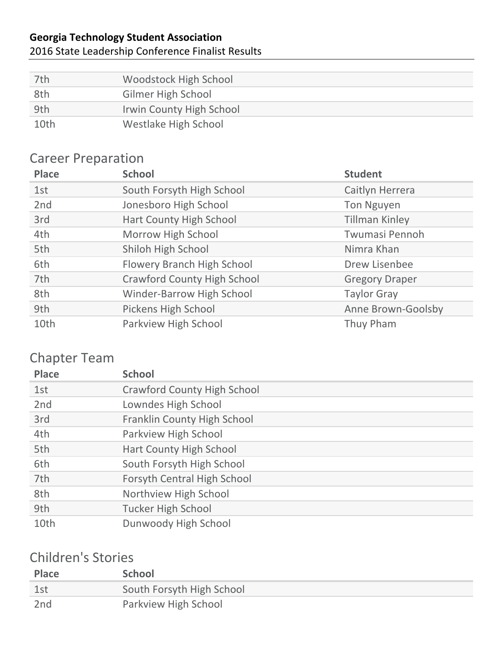#### 2016 State Leadership Conference Finalist Results

| 7th  | Woodstock High School    |
|------|--------------------------|
| 8th  | Gilmer High School       |
| 9th  | Irwin County High School |
| 10th | Westlake High School     |

### **Career Preparation**

| <b>Place</b> | <b>School</b>                      | <b>Student</b>        |
|--------------|------------------------------------|-----------------------|
| 1st          | South Forsyth High School          | Caitlyn Herrera       |
| 2nd          | Jonesboro High School              | <b>Ton Nguyen</b>     |
| 3rd          | <b>Hart County High School</b>     | <b>Tillman Kinley</b> |
| 4th          | Morrow High School                 | Twumasi Pennoh        |
| 5th          | Shiloh High School                 | Nimra Khan            |
| 6th          | Flowery Branch High School         | Drew Lisenbee         |
| 7th          | <b>Crawford County High School</b> | <b>Gregory Draper</b> |
| 8th          | Winder-Barrow High School          | <b>Taylor Gray</b>    |
| 9th          | <b>Pickens High School</b>         | Anne Brown-Goolsby    |
| 10th         | Parkview High School               | Thuy Pham             |

#### Chapter Team

| <b>Place</b> | <b>School</b>                      |
|--------------|------------------------------------|
| 1st          | <b>Crawford County High School</b> |
| 2nd          | Lowndes High School                |
| 3rd          | Franklin County High School        |
| 4th          | Parkview High School               |
| 5th          | Hart County High School            |
| 6th          | South Forsyth High School          |
| 7th          | <b>Forsyth Central High School</b> |
| 8th          | Northview High School              |
| 9th          | <b>Tucker High School</b>          |
| 10th         | Dunwoody High School               |

## Children's Stories

| <b>Place</b>    | <b>School</b>             |
|-----------------|---------------------------|
| 1st             | South Forsyth High School |
| 2 <sub>nd</sub> | Parkview High School      |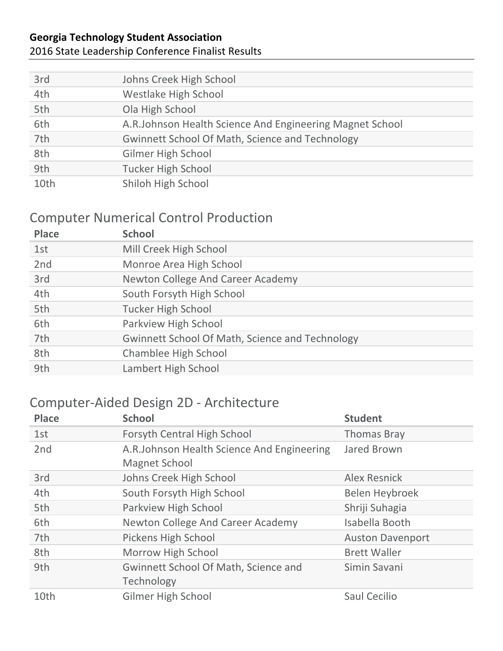#### 2016 State Leadership Conference Finalist Results

| 3rd  | Johns Creek High School                                   |
|------|-----------------------------------------------------------|
| 4th  | Westlake High School                                      |
| 5th  | Ola High School                                           |
| 6th  | A.R. Johnson Health Science And Engineering Magnet School |
| 7th  | <b>Gwinnett School Of Math, Science and Technology</b>    |
| 8th  | <b>Gilmer High School</b>                                 |
| 9th  | <b>Tucker High School</b>                                 |
| 10th | Shiloh High School                                        |

### **Computer Numerical Control Production**

| <b>Place</b> | <b>School</b>                                          |
|--------------|--------------------------------------------------------|
| 1st          | Mill Creek High School                                 |
| 2nd          | Monroe Area High School                                |
| 3rd          | <b>Newton College And Career Academy</b>               |
| 4th          | South Forsyth High School                              |
| 5th          | <b>Tucker High School</b>                              |
| 6th          | Parkview High School                                   |
| 7th          | <b>Gwinnett School Of Math, Science and Technology</b> |
| 8th          | Chamblee High School                                   |
| 9th          | Lambert High School                                    |
|              |                                                        |

#### Computer-Aided Design 2D - Architecture

| <b>Place</b>    | <b>School</b>                                                      | <b>Student</b>          |
|-----------------|--------------------------------------------------------------------|-------------------------|
| 1st             | Forsyth Central High School                                        | <b>Thomas Bray</b>      |
| 2 <sub>nd</sub> | A.R.Johnson Health Science And Engineering<br><b>Magnet School</b> | Jared Brown             |
| 3rd             | Johns Creek High School                                            | Alex Resnick            |
| 4th             | South Forsyth High School                                          | Belen Heybroek          |
| 5th             | Parkview High School                                               | Shriji Suhagia          |
| 6th             | <b>Newton College And Career Academy</b>                           | Isabella Booth          |
| 7th             | Pickens High School                                                | <b>Auston Davenport</b> |
| 8th             | Morrow High School                                                 | <b>Brett Waller</b>     |
| 9th             | <b>Gwinnett School Of Math, Science and</b><br>Technology          | Simin Savani            |
| 10th            | <b>Gilmer High School</b>                                          | Saul Cecilio            |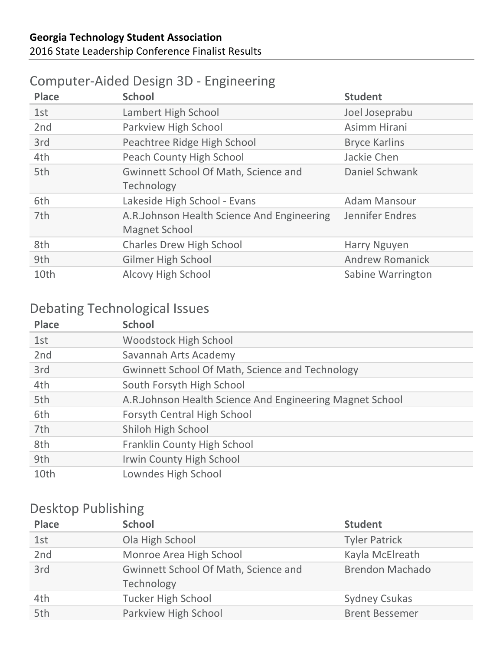## Computer-Aided Design 3D - Engineering

| <b>Place</b> | <b>School</b>                                               | <b>Student</b>           |
|--------------|-------------------------------------------------------------|--------------------------|
| 1st          | Lambert High School                                         | Joel Joseprabu           |
| 2nd          | Parkview High School                                        | Asimm Hirani             |
| 3rd          | Peachtree Ridge High School                                 | <b>Bryce Karlins</b>     |
| 4th          | Peach County High School                                    | Jackie Chen              |
| 5th          | Gwinnett School Of Math, Science and<br>Technology          | Daniel Schwank           |
| 6th          | Lakeside High School - Evans                                | <b>Adam Mansour</b>      |
| 7th          | A.R.Johnson Health Science And Engineering<br>Magnet School | Jennifer Endres          |
| 8th          | <b>Charles Drew High School</b>                             | Harry Nguyen             |
| 9th          | <b>Gilmer High School</b>                                   | <b>Andrew Romanick</b>   |
| 10th         | Alcovy High School                                          | <b>Sabine Warrington</b> |

### Debating Technological Issues

| <b>Place</b> | <b>School</b>                                            |
|--------------|----------------------------------------------------------|
| 1st          | <b>Woodstock High School</b>                             |
| 2nd          | Savannah Arts Academy                                    |
| 3rd          | <b>Gwinnett School Of Math, Science and Technology</b>   |
| 4th          | South Forsyth High School                                |
| 5th          | A.R.Johnson Health Science And Engineering Magnet School |
| 6th          | Forsyth Central High School                              |
| 7th          | Shiloh High School                                       |
| 8th          | Franklin County High School                              |
| 9th          | Irwin County High School                                 |
| 10th         | Lowndes High School                                      |

### Desktop Publishing

| <b>Place</b> | <b>School</b>                                      | <b>Student</b>         |
|--------------|----------------------------------------------------|------------------------|
| 1st          | Ola High School                                    | <b>Tyler Patrick</b>   |
| 2nd          | Monroe Area High School                            | Kayla McElreath        |
| 3rd          | Gwinnett School Of Math, Science and<br>Technology | <b>Brendon Machado</b> |
| 4th          | <b>Tucker High School</b>                          | <b>Sydney Csukas</b>   |
| 5th          | Parkview High School                               | <b>Brent Bessemer</b>  |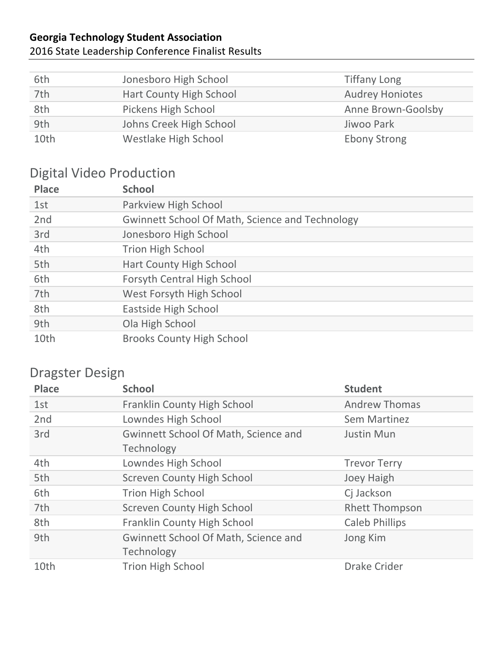#### **Georgia Technology Student Association** 2016 State Leadership Conference Finalist Results

| 6th  | Jonesboro High School   | <b>Tiffany Long</b>    |
|------|-------------------------|------------------------|
| 7th  | Hart County High School | <b>Audrey Honiotes</b> |
| 8th  | Pickens High School     | Anne Brown-Goolsby     |
| 9th  | Johns Creek High School | Jiwoo Park             |
| 10th | Westlake High School    | <b>Ebony Strong</b>    |

## Digital Video Production

| <b>Place</b> | <b>School</b>                                          |
|--------------|--------------------------------------------------------|
| 1st          | Parkview High School                                   |
| 2nd          | <b>Gwinnett School Of Math, Science and Technology</b> |
| 3rd          | Jonesboro High School                                  |
| 4th          | <b>Trion High School</b>                               |
| 5th          | Hart County High School                                |
| 6th          | <b>Forsyth Central High School</b>                     |
| 7th          | West Forsyth High School                               |
| 8th          | Eastside High School                                   |
| 9th          | Ola High School                                        |
| 10th         | <b>Brooks County High School</b>                       |

## Dragster Design

| <b>Place</b>    | <b>School</b>                                             | <b>Student</b>        |
|-----------------|-----------------------------------------------------------|-----------------------|
| 1st             | <b>Franklin County High School</b>                        | <b>Andrew Thomas</b>  |
| 2 <sub>nd</sub> | Lowndes High School                                       | <b>Sem Martinez</b>   |
| 3rd             | <b>Gwinnett School Of Math, Science and</b><br>Technology | <b>Justin Mun</b>     |
| 4th             | Lowndes High School                                       | <b>Trevor Terry</b>   |
| 5th             | <b>Screven County High School</b>                         | Joey Haigh            |
| 6th             | <b>Trion High School</b>                                  | Cj Jackson            |
| 7th             | <b>Screven County High School</b>                         | <b>Rhett Thompson</b> |
| 8th             | <b>Franklin County High School</b>                        | <b>Caleb Phillips</b> |
| 9th             | Gwinnett School Of Math, Science and<br>Technology        | Jong Kim              |
| 10th            | <b>Trion High School</b>                                  | <b>Drake Crider</b>   |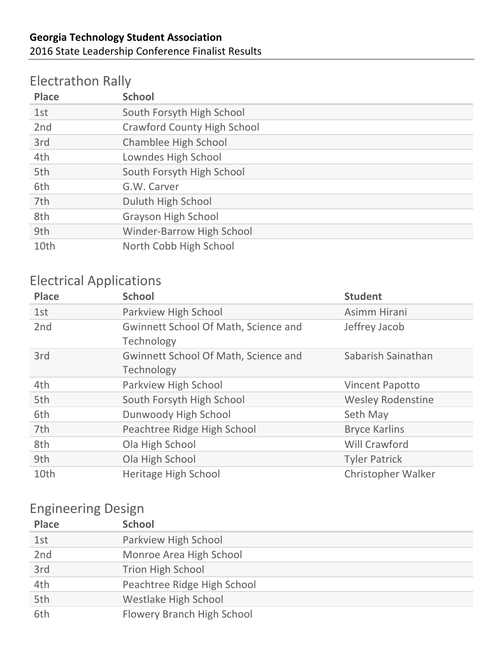### Electrathon Rally

| <b>Place</b> | <b>School</b>                      |
|--------------|------------------------------------|
| 1st          | South Forsyth High School          |
| 2nd          | <b>Crawford County High School</b> |
| 3rd          | <b>Chamblee High School</b>        |
| 4th          | Lowndes High School                |
| 5th          | South Forsyth High School          |
| 6th          | G.W. Carver                        |
| 7th          | Duluth High School                 |
| 8th          | <b>Grayson High School</b>         |
| 9th          | Winder-Barrow High School          |
| 10th         | North Cobb High School             |

## Electrical Applications

| <b>Place</b>    | <b>School</b>                                             | <b>Student</b>            |
|-----------------|-----------------------------------------------------------|---------------------------|
| 1st             | Parkview High School                                      | Asimm Hirani              |
| 2 <sub>nd</sub> | Gwinnett School Of Math, Science and<br>Technology        | Jeffrey Jacob             |
| 3rd             | <b>Gwinnett School Of Math, Science and</b><br>Technology | Sabarish Sainathan        |
| 4th             | Parkview High School                                      | <b>Vincent Papotto</b>    |
| 5th             | South Forsyth High School                                 | <b>Wesley Rodenstine</b>  |
| 6th             | Dunwoody High School                                      | Seth May                  |
| 7th             | Peachtree Ridge High School                               | <b>Bryce Karlins</b>      |
| 8th             | Ola High School                                           | <b>Will Crawford</b>      |
| 9th             | Ola High School                                           | <b>Tyler Patrick</b>      |
| 10th            | Heritage High School                                      | <b>Christopher Walker</b> |

### Engineering Design

| <b>Place</b> | <b>School</b>               |
|--------------|-----------------------------|
| 1st          | Parkview High School        |
| 2nd          | Monroe Area High School     |
| 3rd          | <b>Trion High School</b>    |
| 4th          | Peachtree Ridge High School |
| 5th          | Westlake High School        |
| 6th          | Flowery Branch High School  |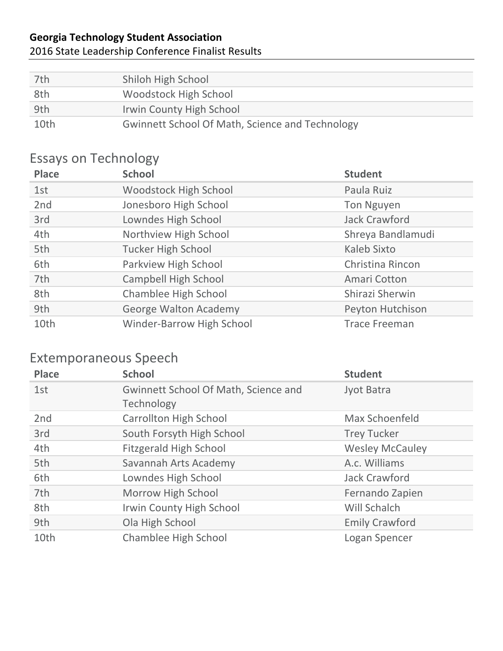#### 2016 State Leadership Conference Finalist Results

| 7th  | Shiloh High School                                     |
|------|--------------------------------------------------------|
| 8th  | Woodstock High School                                  |
| 9th  | Irwin County High School                               |
| 10th | <b>Gwinnett School Of Math, Science and Technology</b> |

## Essays on Technology

| <b>Place</b> | <b>School</b>                    | <b>Student</b>       |
|--------------|----------------------------------|----------------------|
| 1st          | <b>Woodstock High School</b>     | Paula Ruiz           |
| 2nd          | Jonesboro High School            | <b>Ton Nguyen</b>    |
| 3rd          | Lowndes High School              | <b>Jack Crawford</b> |
| 4th          | Northview High School            | Shreya Bandlamudi    |
| 5th          | <b>Tucker High School</b>        | <b>Kaleb Sixto</b>   |
| 6th          | Parkview High School             | Christina Rincon     |
| 7th          | <b>Campbell High School</b>      | Amari Cotton         |
| 8th          | Chamblee High School             | Shirazi Sherwin      |
| 9th          | <b>George Walton Academy</b>     | Peyton Hutchison     |
| 10th         | <b>Winder-Barrow High School</b> | <b>Trace Freeman</b> |

## Extemporaneous Speech

| <b>Place</b>    | <b>School</b>                                             | <b>Student</b>         |
|-----------------|-----------------------------------------------------------|------------------------|
| 1st             | <b>Gwinnett School Of Math, Science and</b><br>Technology | Jyot Batra             |
| 2 <sub>nd</sub> | <b>Carrollton High School</b>                             | Max Schoenfeld         |
| 3rd             | South Forsyth High School                                 | <b>Trey Tucker</b>     |
| 4th             | <b>Fitzgerald High School</b>                             | <b>Wesley McCauley</b> |
| 5th             | Savannah Arts Academy                                     | A.c. Williams          |
| 6th             | Lowndes High School                                       | <b>Jack Crawford</b>   |
| 7th             | Morrow High School                                        | Fernando Zapien        |
| 8th             | <b>Irwin County High School</b>                           | Will Schalch           |
| 9th             | Ola High School                                           | <b>Emily Crawford</b>  |
| 10th            | <b>Chamblee High School</b>                               | Logan Spencer          |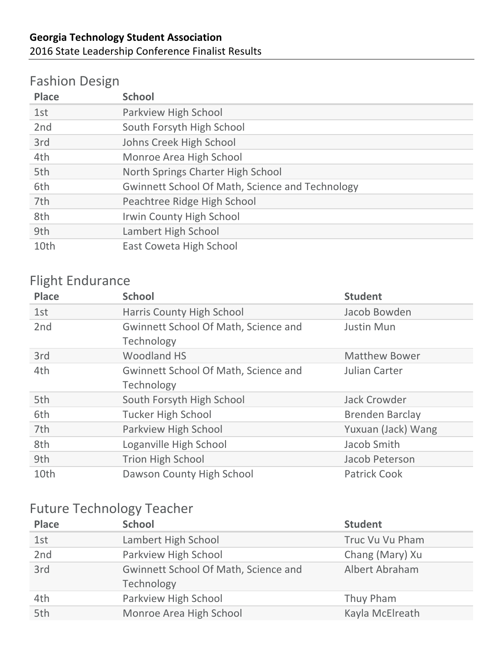## Fashion Design

| <b>Place</b> | <b>School</b>                                          |
|--------------|--------------------------------------------------------|
| 1st          | Parkview High School                                   |
| 2nd          | South Forsyth High School                              |
| 3rd          | Johns Creek High School                                |
| 4th          | Monroe Area High School                                |
| 5th          | North Springs Charter High School                      |
| 6th          | <b>Gwinnett School Of Math, Science and Technology</b> |
| 7th          | Peachtree Ridge High School                            |
| 8th          | Irwin County High School                               |
| 9th          | Lambert High School                                    |
| 10th         | East Coweta High School                                |

## Flight Endurance

| <b>Place</b>    | <b>School</b>                                             | <b>Student</b>         |
|-----------------|-----------------------------------------------------------|------------------------|
| 1st             | <b>Harris County High School</b>                          | Jacob Bowden           |
| 2 <sub>nd</sub> | <b>Gwinnett School Of Math, Science and</b><br>Technology | <b>Justin Mun</b>      |
| 3rd             | <b>Woodland HS</b>                                        | <b>Matthew Bower</b>   |
| 4th             | <b>Gwinnett School Of Math, Science and</b><br>Technology | Julian Carter          |
| 5th             | South Forsyth High School                                 | <b>Jack Crowder</b>    |
| 6th             | <b>Tucker High School</b>                                 | <b>Brenden Barclay</b> |
| 7th             | Parkview High School                                      | Yuxuan (Jack) Wang     |
| 8th             | Loganville High School                                    | Jacob Smith            |
| 9th             | <b>Trion High School</b>                                  | Jacob Peterson         |
| 10th            | Dawson County High School                                 | <b>Patrick Cook</b>    |

## Future Technology Teacher

| <b>Place</b> | <b>School</b>                                      | <b>Student</b>  |
|--------------|----------------------------------------------------|-----------------|
| 1st          | Lambert High School                                | Truc Vu Vu Pham |
| 2nd          | Parkview High School                               | Chang (Mary) Xu |
| 3rd          | Gwinnett School Of Math, Science and<br>Technology | Albert Abraham  |
| 4th          | Parkview High School                               | Thuy Pham       |
| 5th          | Monroe Area High School                            | Kayla McElreath |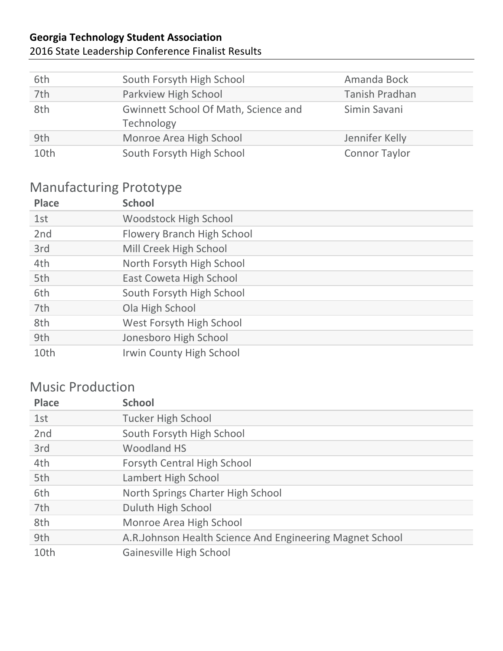#### 2016 State Leadership Conference Finalist Results

| 6th  | South Forsyth High School                          | Amanda Bock          |
|------|----------------------------------------------------|----------------------|
| 7th  | Parkview High School                               | Tanish Pradhan       |
| 8th  | Gwinnett School Of Math, Science and<br>Technology | Simin Savani         |
| 9th  | Monroe Area High School                            | Jennifer Kelly       |
| 10th | South Forsyth High School                          | <b>Connor Taylor</b> |

## Manufacturing Prototype

| <b>Place</b> | <b>School</b>                     |
|--------------|-----------------------------------|
| 1st          | <b>Woodstock High School</b>      |
| 2nd          | <b>Flowery Branch High School</b> |
| 3rd          | Mill Creek High School            |
| 4th          | North Forsyth High School         |
| 5th          | East Coweta High School           |
| 6th          | South Forsyth High School         |
| 7th          | Ola High School                   |
| 8th          | West Forsyth High School          |
| 9th          | Jonesboro High School             |
| 10th         | <b>Irwin County High School</b>   |

## **Music Production**

| <b>Place</b> | <b>School</b>                                            |
|--------------|----------------------------------------------------------|
| 1st          | <b>Tucker High School</b>                                |
| 2nd          | South Forsyth High School                                |
| 3rd          | <b>Woodland HS</b>                                       |
| 4th          | Forsyth Central High School                              |
| 5th          | Lambert High School                                      |
| 6th          | North Springs Charter High School                        |
| 7th          | Duluth High School                                       |
| 8th          | Monroe Area High School                                  |
| 9th          | A.R.Johnson Health Science And Engineering Magnet School |
| 10th         | Gainesville High School                                  |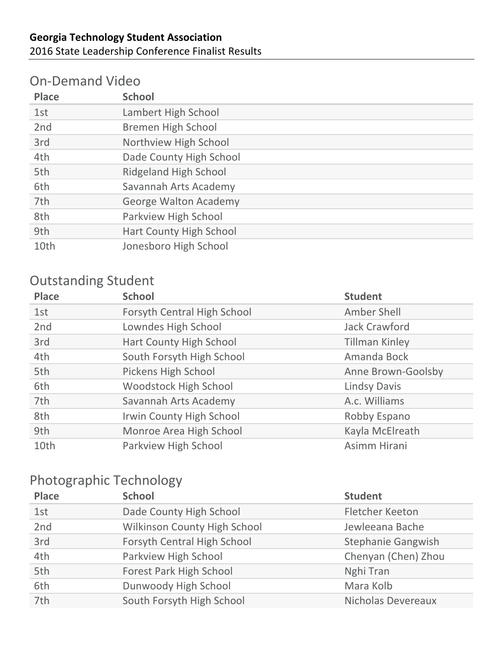#### **On-Demand Video**

| <b>Place</b> | <b>School</b>                |
|--------------|------------------------------|
| 1st          | Lambert High School          |
| 2nd          | <b>Bremen High School</b>    |
| 3rd          | Northview High School        |
| 4th          | Dade County High School      |
| 5th          | Ridgeland High School        |
| 6th          | Savannah Arts Academy        |
| 7th          | <b>George Walton Academy</b> |
| 8th          | Parkview High School         |
| 9th          | Hart County High School      |
| 10th         | Jonesboro High School        |

## **Outstanding Student**

| <b>Place</b> | <b>School</b>                | <b>Student</b>        |
|--------------|------------------------------|-----------------------|
| 1st          | Forsyth Central High School  | Amber Shell           |
| 2nd          | Lowndes High School          | Jack Crawford         |
| 3rd          | Hart County High School      | <b>Tillman Kinley</b> |
| 4th          | South Forsyth High School    | Amanda Bock           |
| 5th          | Pickens High School          | Anne Brown-Goolsby    |
| 6th          | <b>Woodstock High School</b> | <b>Lindsy Davis</b>   |
| 7th          | Savannah Arts Academy        | A.c. Williams         |
| 8th          | Irwin County High School     | Robby Espano          |
| 9th          | Monroe Area High School      | Kayla McElreath       |
| 10th         | Parkview High School         | Asimm Hirani          |

## Photographic Technology

| <b>Place</b> | <b>School</b>                  | <b>Student</b>            |
|--------------|--------------------------------|---------------------------|
| 1st          | Dade County High School        | <b>Fletcher Keeton</b>    |
| 2nd          | Wilkinson County High School   | Jewleeana Bache           |
| 3rd          | Forsyth Central High School    | <b>Stephanie Gangwish</b> |
| 4th          | Parkview High School           | Chenyan (Chen) Zhou       |
| 5th          | <b>Forest Park High School</b> | Nghi Tran                 |
| 6th          | Dunwoody High School           | Mara Kolb                 |
| 7th          | South Forsyth High School      | Nicholas Devereaux        |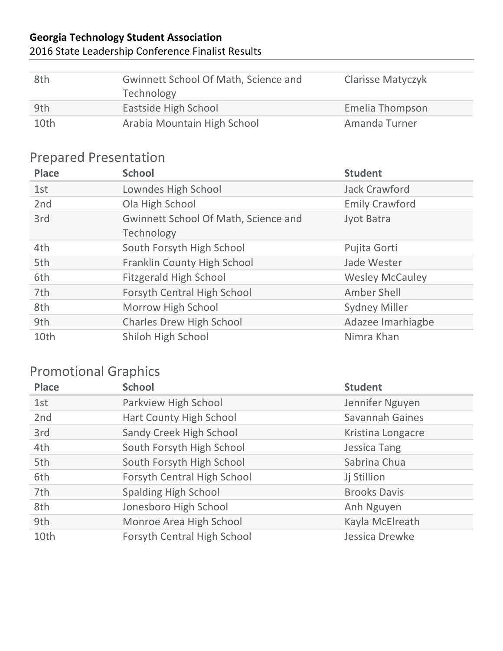#### 2016 State Leadership Conference Finalist Results

| 8th  | <b>Gwinnett School Of Math, Science and</b><br>Technology | <b>Clarisse Matyczyk</b> |
|------|-----------------------------------------------------------|--------------------------|
| 9th  | Eastside High School                                      | Emelia Thompson          |
| 10th | Arabia Mountain High School                               | Amanda Turner            |

## Prepared Presentation

| <b>Place</b>    | <b>School</b>                                      | <b>Student</b>         |
|-----------------|----------------------------------------------------|------------------------|
| 1st             | Lowndes High School                                | <b>Jack Crawford</b>   |
| 2 <sub>nd</sub> | Ola High School                                    | <b>Emily Crawford</b>  |
| 3rd             | Gwinnett School Of Math, Science and<br>Technology | Jyot Batra             |
| 4th             | South Forsyth High School                          | Pujita Gorti           |
| 5th             | <b>Franklin County High School</b>                 | Jade Wester            |
| 6th             | <b>Fitzgerald High School</b>                      | <b>Wesley McCauley</b> |
| 7th             | Forsyth Central High School                        | Amber Shell            |
| 8th             | Morrow High School                                 | <b>Sydney Miller</b>   |
| 9th             | <b>Charles Drew High School</b>                    | Adazee Imarhiagbe      |
| 10th            | Shiloh High School                                 | Nimra Khan             |

## **Promotional Graphics**

| <b>Place</b>    | <b>School</b>               | <b>Student</b>         |
|-----------------|-----------------------------|------------------------|
| 1st             | Parkview High School        | Jennifer Nguyen        |
| 2 <sub>nd</sub> | Hart County High School     | <b>Savannah Gaines</b> |
| 3rd             | Sandy Creek High School     | Kristina Longacre      |
| 4th             | South Forsyth High School   | <b>Jessica Tang</b>    |
| 5th             | South Forsyth High School   | Sabrina Chua           |
| 6th             | Forsyth Central High School | Jj Stillion            |
| 7th             | <b>Spalding High School</b> | <b>Brooks Davis</b>    |
| 8th             | Jonesboro High School       | Anh Nguyen             |
| 9th             | Monroe Area High School     | Kayla McElreath        |
| 10th            | Forsyth Central High School | Jessica Drewke         |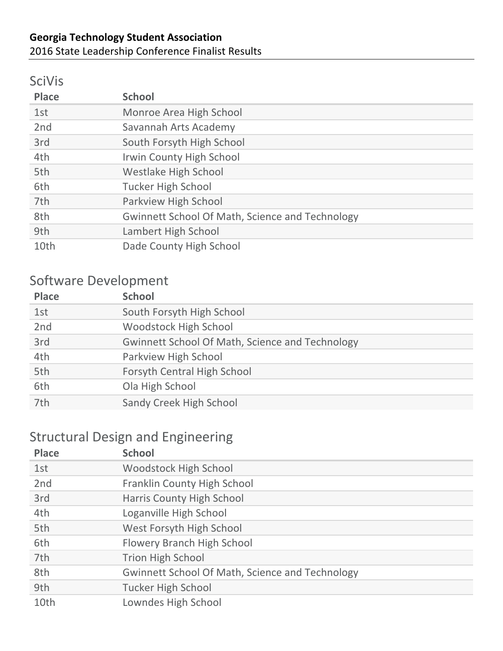#### 2016 State Leadership Conference Finalist Results

#### SciVis

| <b>Place</b> | <b>School</b>                                   |
|--------------|-------------------------------------------------|
| 1st          | Monroe Area High School                         |
| 2nd          | Savannah Arts Academy                           |
| 3rd          | South Forsyth High School                       |
| 4th          | Irwin County High School                        |
| 5th          | Westlake High School                            |
| 6th          | <b>Tucker High School</b>                       |
| 7th          | Parkview High School                            |
| 8th          | Gwinnett School Of Math, Science and Technology |
| 9th          | Lambert High School                             |
| 10th         | Dade County High School                         |

### Software Development

| <b>Place</b> | <b>School</b>                                          |
|--------------|--------------------------------------------------------|
| 1st          | South Forsyth High School                              |
| 2nd          | <b>Woodstock High School</b>                           |
| 3rd          | <b>Gwinnett School Of Math, Science and Technology</b> |
| 4th          | Parkview High School                                   |
| 5th          | Forsyth Central High School                            |
| 6th          | Ola High School                                        |
| 7th          | Sandy Creek High School                                |

### Structural Design and Engineering

| <b>Place</b> | <b>School</b>                                          |
|--------------|--------------------------------------------------------|
| 1st          | <b>Woodstock High School</b>                           |
| 2nd          | <b>Franklin County High School</b>                     |
| 3rd          | Harris County High School                              |
| 4th          | Loganville High School                                 |
| 5th          | West Forsyth High School                               |
| 6th          | <b>Flowery Branch High School</b>                      |
| 7th          | <b>Trion High School</b>                               |
| 8th          | <b>Gwinnett School Of Math, Science and Technology</b> |
| 9th          | <b>Tucker High School</b>                              |
| 10th         | Lowndes High School                                    |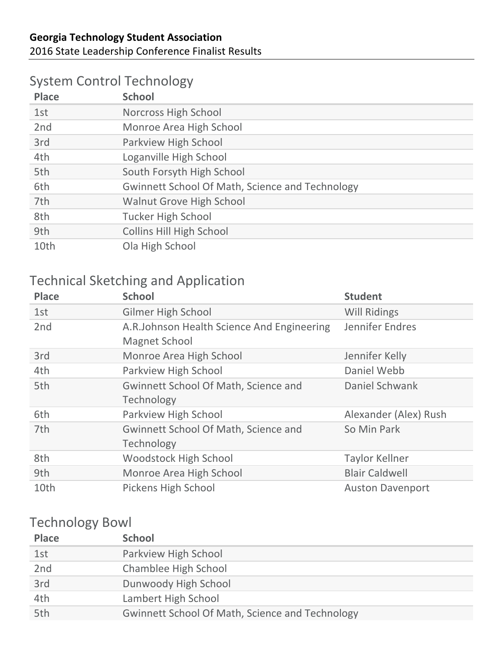## System Control Technology

| <b>Place</b> | <b>School</b>                                          |
|--------------|--------------------------------------------------------|
| 1st          | Norcross High School                                   |
| 2nd          | Monroe Area High School                                |
| 3rd          | Parkview High School                                   |
| 4th          | Loganville High School                                 |
| 5th          | South Forsyth High School                              |
| 6th          | <b>Gwinnett School Of Math, Science and Technology</b> |
| 7th          | <b>Walnut Grove High School</b>                        |
| 8th          | <b>Tucker High School</b>                              |
| 9th          | <b>Collins Hill High School</b>                        |
| 10th         | Ola High School                                        |

## Technical Sketching and Application

| <b>Place</b>    | <b>School</b>                                                      | <b>Student</b>          |
|-----------------|--------------------------------------------------------------------|-------------------------|
| 1st             | <b>Gilmer High School</b>                                          | <b>Will Ridings</b>     |
| 2 <sub>nd</sub> | A.R.Johnson Health Science And Engineering<br><b>Magnet School</b> | Jennifer Endres         |
| 3rd             | Monroe Area High School                                            | Jennifer Kelly          |
| 4th             | Parkview High School                                               | Daniel Webb             |
| 5th             | <b>Gwinnett School Of Math, Science and</b><br>Technology          | Daniel Schwank          |
| 6th             | Parkview High School                                               | Alexander (Alex) Rush   |
| 7th             | <b>Gwinnett School Of Math, Science and</b><br>Technology          | So Min Park             |
| 8th             | <b>Woodstock High School</b>                                       | <b>Taylor Kellner</b>   |
| 9th             | Monroe Area High School                                            | <b>Blair Caldwell</b>   |
| 10th            | Pickens High School                                                | <b>Auston Davenport</b> |

#### **Technology Bowl**

| <b>Place</b> | <b>School</b>                                          |
|--------------|--------------------------------------------------------|
| 1st          | Parkview High School                                   |
| 2nd          | Chamblee High School                                   |
| 3rd          | Dunwoody High School                                   |
| 4th          | Lambert High School                                    |
| 5th          | <b>Gwinnett School Of Math, Science and Technology</b> |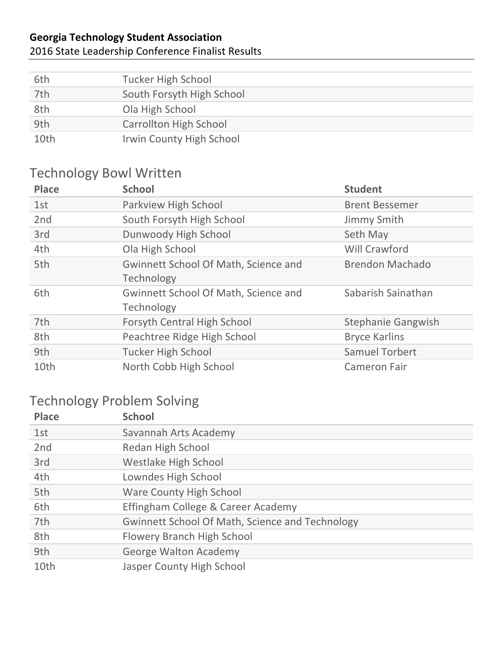#### 2016 State Leadership Conference Finalist Results

| 6th  | <b>Tucker High School</b>     |
|------|-------------------------------|
| 7th  | South Forsyth High School     |
| 8th  | Ola High School               |
| 9th  | <b>Carrollton High School</b> |
| 10th | Irwin County High School      |

## Technology Bowl Written

| <b>Place</b> | <b>School</b>                               | <b>Student</b>            |
|--------------|---------------------------------------------|---------------------------|
| 1st          | Parkview High School                        | <b>Brent Bessemer</b>     |
| 2nd          | South Forsyth High School                   | Jimmy Smith               |
| 3rd          | Dunwoody High School                        | Seth May                  |
| 4th          | Ola High School                             | <b>Will Crawford</b>      |
| 5th          | <b>Gwinnett School Of Math, Science and</b> | <b>Brendon Machado</b>    |
|              | Technology                                  |                           |
| 6th          | <b>Gwinnett School Of Math, Science and</b> | Sabarish Sainathan        |
|              | Technology                                  |                           |
| 7th          | <b>Forsyth Central High School</b>          | <b>Stephanie Gangwish</b> |
| 8th          | Peachtree Ridge High School                 | <b>Bryce Karlins</b>      |
| 9th          | <b>Tucker High School</b>                   | <b>Samuel Torbert</b>     |
| 10th         | North Cobb High School                      | <b>Cameron Fair</b>       |

### Technology Problem Solving

| <b>Place</b> | <b>School</b>                                          |
|--------------|--------------------------------------------------------|
| 1st          | Savannah Arts Academy                                  |
| 2nd          | Redan High School                                      |
| 3rd          | <b>Westlake High School</b>                            |
| 4th          | Lowndes High School                                    |
| 5th          | <b>Ware County High School</b>                         |
| 6th          | Effingham College & Career Academy                     |
| 7th          | <b>Gwinnett School Of Math, Science and Technology</b> |
| 8th          | Flowery Branch High School                             |
| 9th          | <b>George Walton Academy</b>                           |
| 10th         | Jasper County High School                              |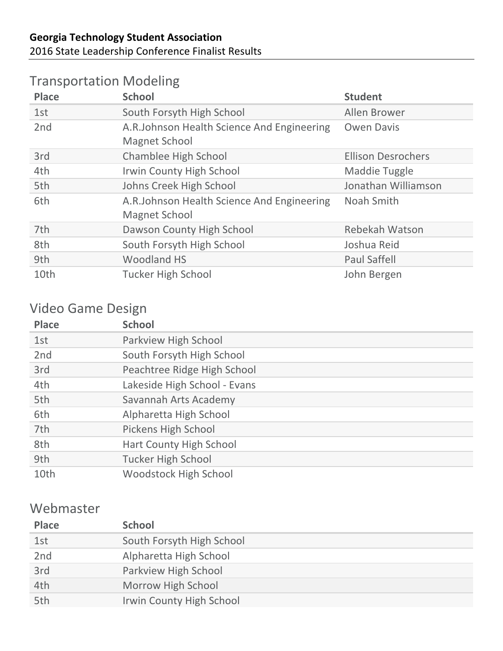### Transportation Modeling

| <b>Place</b> | <b>School</b>                                                      | <b>Student</b>            |
|--------------|--------------------------------------------------------------------|---------------------------|
| 1st          | South Forsyth High School                                          | Allen Brower              |
| 2nd          | A.R.Johnson Health Science And Engineering<br><b>Magnet School</b> | <b>Owen Davis</b>         |
| 3rd          | Chamblee High School                                               | <b>Ellison Desrochers</b> |
| 4th          | Irwin County High School                                           | Maddie Tuggle             |
| 5th          | Johns Creek High School                                            | Jonathan Williamson       |
| 6th          | A.R.Johnson Health Science And Engineering<br><b>Magnet School</b> | Noah Smith                |
| 7th          | Dawson County High School                                          | <b>Rebekah Watson</b>     |
| 8th          | South Forsyth High School                                          | Joshua Reid               |
| 9th          | <b>Woodland HS</b>                                                 | <b>Paul Saffell</b>       |
| 10th         | <b>Tucker High School</b>                                          | John Bergen               |

### Video Game Design

| <b>Place</b> | <b>School</b>                  |
|--------------|--------------------------------|
| 1st          | Parkview High School           |
| 2nd          | South Forsyth High School      |
| 3rd          | Peachtree Ridge High School    |
| 4th          | Lakeside High School - Evans   |
| 5th          | Savannah Arts Academy          |
| 6th          | Alpharetta High School         |
| 7th          | Pickens High School            |
| 8th          | <b>Hart County High School</b> |
| 9th          | <b>Tucker High School</b>      |
| 10th         | <b>Woodstock High School</b>   |

#### Webmaster

| <b>Place</b> | <b>School</b>                   |
|--------------|---------------------------------|
| 1st          | South Forsyth High School       |
| 2nd          | Alpharetta High School          |
| 3rd          | Parkview High School            |
| 4th          | Morrow High School              |
| 5th          | <b>Irwin County High School</b> |